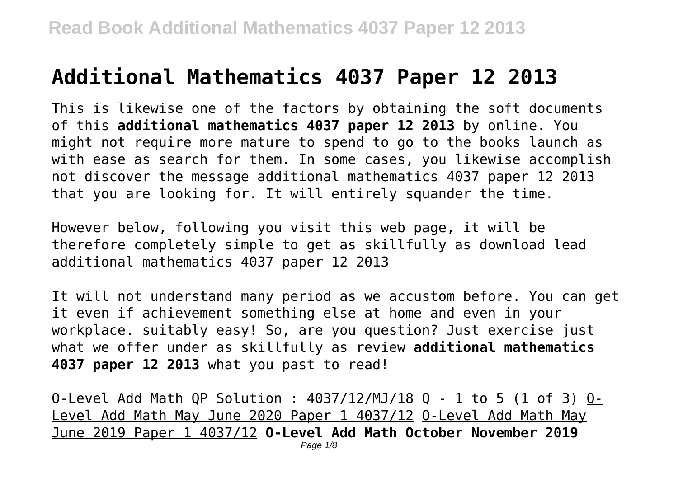# **Additional Mathematics 4037 Paper 12 2013**

This is likewise one of the factors by obtaining the soft documents of this **additional mathematics 4037 paper 12 2013** by online. You might not require more mature to spend to go to the books launch as with ease as search for them. In some cases, you likewise accomplish not discover the message additional mathematics 4037 paper 12 2013 that you are looking for. It will entirely squander the time.

However below, following you visit this web page, it will be therefore completely simple to get as skillfully as download lead additional mathematics 4037 paper 12 2013

It will not understand many period as we accustom before. You can get it even if achievement something else at home and even in your workplace. suitably easy! So, are you question? Just exercise just what we offer under as skillfully as review **additional mathematics 4037 paper 12 2013** what you past to read!

0-Level Add Math QP Solution :  $4037/12/MJ/18$  Q - 1 to 5 (1 of 3)  $0-$ Level Add Math May June 2020 Paper 1 4037/12 O-Level Add Math May June 2019 Paper 1 4037/12 **O-Level Add Math October November 2019**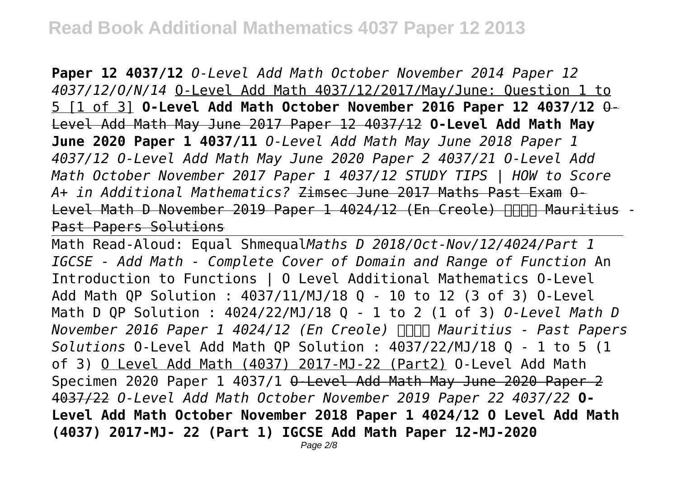**Paper 12 4037/12** *O-Level Add Math October November 2014 Paper 12 4037/12/O/N/14* O-Level Add Math 4037/12/2017/May/June: Question 1 to 5 [1 of 3] **O-Level Add Math October November 2016 Paper 12 4037/12** O-Level Add Math May June 2017 Paper 12 4037/12 **O-Level Add Math May June 2020 Paper 1 4037/11** *O-Level Add Math May June 2018 Paper 1 4037/12 O-Level Add Math May June 2020 Paper 2 4037/21 O-Level Add Math October November 2017 Paper 1 4037/12 STUDY TIPS | HOW to Score A+ in Additional Mathematics?* Zimsec June 2017 Maths Past Exam O-Level Math D November 2019 Paper 1 4024/12 (En Creole) FFFFF Mauritius -Past Papers Solutions

Math Read-Aloud: Equal Shmequal*Maths D 2018/Oct-Nov/12/4024/Part 1 IGCSE - Add Math - Complete Cover of Domain and Range of Function* An Introduction to Functions | O Level Additional Mathematics O-Level Add Math QP Solution : 4037/11/MJ/18 Q - 10 to 12 (3 of 3) O-Level Math D QP Solution : 4024/22/MJ/18 Q - 1 to 2 (1 of 3) *O-Level Math D November 2016 Paper 1 4024/12 (En Creole) Mauritius - Past Papers Solutions* O-Level Add Math QP Solution : 4037/22/MJ/18 Q - 1 to 5 (1 of 3) O Level Add Math (4037) 2017-MJ-22 (Part2) O-Level Add Math Specimen 2020 Paper 1 4037/1 O-Level Add Math May June 2020 Paper 2 4037/22 *O-Level Add Math October November 2019 Paper 22 4037/22* **O-Level Add Math October November 2018 Paper 1 4024/12 O Level Add Math (4037) 2017-MJ- 22 (Part 1) IGCSE Add Math Paper 12-MJ-2020**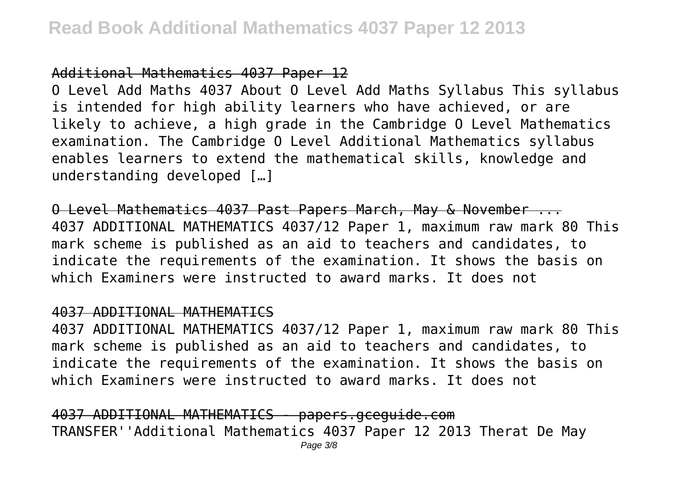## Additional Mathematics 4037 Paper 12

O Level Add Maths 4037 About O Level Add Maths Syllabus This syllabus is intended for high ability learners who have achieved, or are likely to achieve, a high grade in the Cambridge O Level Mathematics examination. The Cambridge O Level Additional Mathematics syllabus enables learners to extend the mathematical skills, knowledge and understanding developed […]

O Level Mathematics 4037 Past Papers March, May & November ... 4037 ADDITIONAL MATHEMATICS 4037/12 Paper 1, maximum raw mark 80 This mark scheme is published as an aid to teachers and candidates, to indicate the requirements of the examination. It shows the basis on which Examiners were instructed to award marks. It does not

#### 4037 ADDITIONAL MATHEMATICS

4037 ADDITIONAL MATHEMATICS 4037/12 Paper 1, maximum raw mark 80 This mark scheme is published as an aid to teachers and candidates, to indicate the requirements of the examination. It shows the basis on which Examiners were instructed to award marks. It does not

4037 ADDITIONAL MATHEMATICS - papers.gceguide.com TRANSFER''Additional Mathematics 4037 Paper 12 2013 Therat De May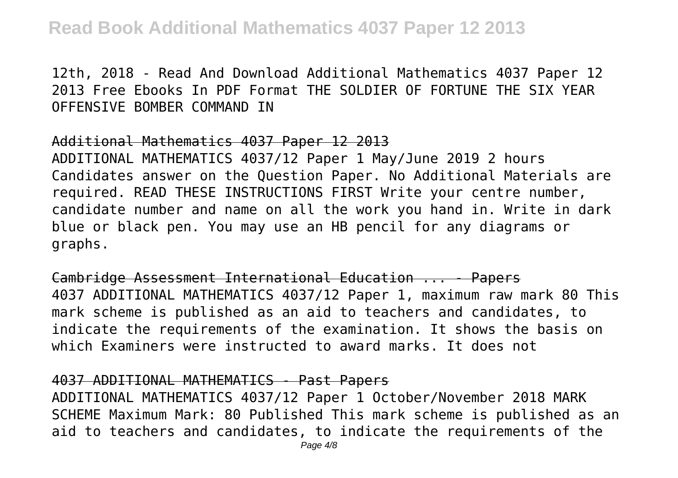12th, 2018 - Read And Download Additional Mathematics 4037 Paper 12 2013 Free Ebooks In PDF Format THE SOLDIER OF FORTUNE THE SIX YEAR OFFENSIVE BOMBER COMMAND IN

#### Additional Mathematics 4037 Paper 12 2013

ADDITIONAL MATHEMATICS 4037/12 Paper 1 May/June 2019 2 hours Candidates answer on the Question Paper. No Additional Materials are required. READ THESE INSTRUCTIONS FIRST Write your centre number, candidate number and name on all the work you hand in. Write in dark blue or black pen. You may use an HB pencil for any diagrams or graphs.

Cambridge Assessment International Education ... - Papers 4037 ADDITIONAL MATHEMATICS 4037/12 Paper 1, maximum raw mark 80 This mark scheme is published as an aid to teachers and candidates, to indicate the requirements of the examination. It shows the basis on which Examiners were instructed to award marks. It does not

#### 4037 ADDITIONAL MATHEMATICS - Past Papers

ADDITIONAL MATHEMATICS 4037/12 Paper 1 October/November 2018 MARK SCHEME Maximum Mark: 80 Published This mark scheme is published as an aid to teachers and candidates, to indicate the requirements of the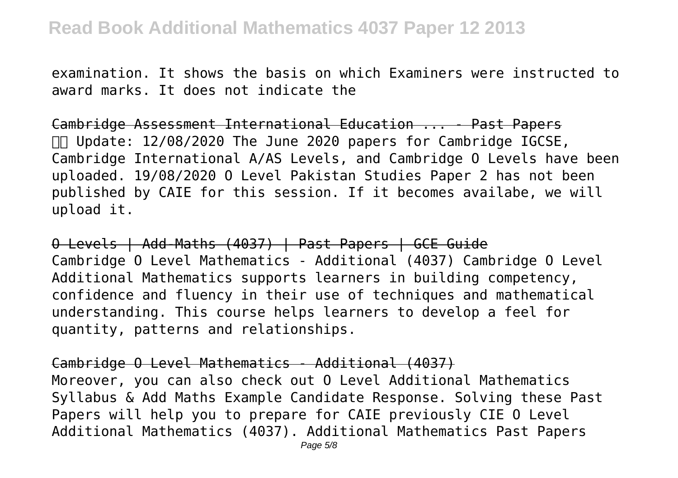examination. It shows the basis on which Examiners were instructed to award marks. It does not indicate the

Cambridge Assessment International Education ... - Past Papers Update: 12/08/2020 The June 2020 papers for Cambridge IGCSE, Cambridge International A/AS Levels, and Cambridge O Levels have been uploaded. 19/08/2020 O Level Pakistan Studies Paper 2 has not been published by CAIE for this session. If it becomes availabe, we will upload it.

O Levels | Add-Maths (4037) | Past Papers | GCE Guide Cambridge O Level Mathematics - Additional (4037) Cambridge O Level Additional Mathematics supports learners in building competency, confidence and fluency in their use of techniques and mathematical understanding. This course helps learners to develop a feel for quantity, patterns and relationships.

Cambridge O Level Mathematics - Additional (4037) Moreover, you can also check out O Level Additional Mathematics Syllabus & Add Maths Example Candidate Response. Solving these Past Papers will help you to prepare for CAIE previously CIE O Level Additional Mathematics (4037). Additional Mathematics Past Papers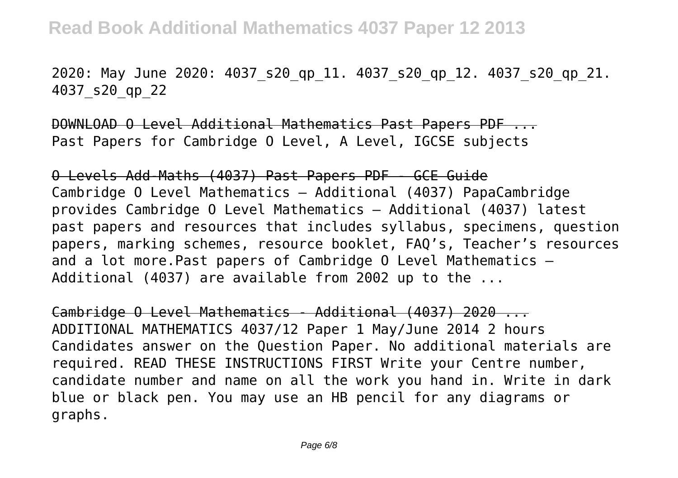2020: May June 2020: 4037\_s20\_qp\_11. 4037\_s20\_qp\_12. 4037\_s20\_qp\_21. 4037\_s20\_qp\_22

DOWNLOAD O Level Additional Mathematics Past Papers PDF ... Past Papers for Cambridge O Level, A Level, IGCSE subjects

O Levels Add-Maths (4037) Past Papers PDF - GCE Guide Cambridge O Level Mathematics – Additional (4037) PapaCambridge provides Cambridge O Level Mathematics – Additional (4037) latest past papers and resources that includes syllabus, specimens, question papers, marking schemes, resource booklet, FAQ's, Teacher's resources and a lot more.Past papers of Cambridge O Level Mathematics – Additional (4037) are available from 2002 up to the ...

Cambridge O Level Mathematics - Additional (4037) 2020 ... ADDITIONAL MATHEMATICS 4037/12 Paper 1 May/June 2014 2 hours Candidates answer on the Question Paper. No additional materials are required. READ THESE INSTRUCTIONS FIRST Write your Centre number, candidate number and name on all the work you hand in. Write in dark blue or black pen. You may use an HB pencil for any diagrams or graphs.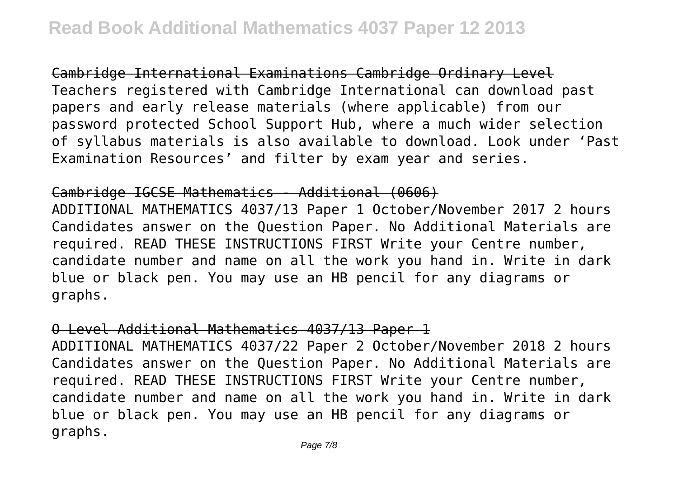Cambridge International Examinations Cambridge Ordinary Level Teachers registered with Cambridge International can download past papers and early release materials (where applicable) from our password protected School Support Hub, where a much wider selection of syllabus materials is also available to download. Look under 'Past Examination Resources' and filter by exam year and series.

## Cambridge IGCSE Mathematics - Additional (0606)

ADDITIONAL MATHEMATICS 4037/13 Paper 1 October/November 2017 2 hours Candidates answer on the Question Paper. No Additional Materials are required. READ THESE INSTRUCTIONS FIRST Write your Centre number, candidate number and name on all the work you hand in. Write in dark blue or black pen. You may use an HB pencil for any diagrams or graphs.

# O Level Additional Mathematics 4037/13 Paper 1

ADDITIONAL MATHEMATICS 4037/22 Paper 2 October/November 2018 2 hours Candidates answer on the Question Paper. No Additional Materials are required. READ THESE INSTRUCTIONS FIRST Write your Centre number, candidate number and name on all the work you hand in. Write in dark blue or black pen. You may use an HB pencil for any diagrams or graphs.